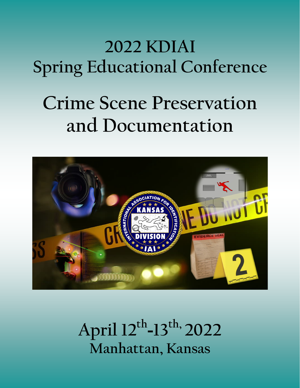## **2022 KDIAI Spring Educational Conference**

# **Crime Scene Preservation and Documentation**



**April 12th -13th, 2022 Manhattan, Kansas**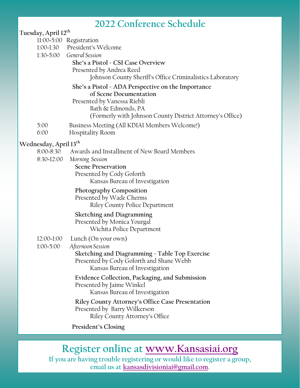### **2022 Conference Schedule**

#### **Tuesday, April 12th** 11:00-5:00 Registration

- 1:00-1:30 President's Welcome
- 
- 1:30-5:00 *General Session*

**She's a Pistol - CSI Case Overview**

Presented by Andrea Reed

Johnson County Sheriff's Office Criminalistics Laboratory

#### **She's a Pistol - ADA Perspective on the Importance**

#### **of Scene Documentation**

Presented by Vanessa Riebli

Bath & Edmonds, PA

(Formerly with Johnson County District Attorney's Office)

- 5:00 Business Meeting (All KDIAI Members Welcome!)
- 6:00 Hospitality Room

#### **Wednesday, April 13th**

- 8:00-8:30 Awards and Installment of New Board Members
- 8:30-12:00 *Morning Session*

#### **Scene Preservation**

 Presented by Cody Goforth Kansas Bureau of Investigation

#### **Photography Composition**

 Presented by Wade Cherms Riley County Police Department

#### **Sketching and Diagramming** Presented by Monica Yourgal

Wichita Police Department

- 12:00-1:00 Lunch (On your own)
- 1:00-5:00 *Afternoon Session*

 **Sketching and Diagramming - Table Top Exercise** Presented by Cody Goforth and Shane Webb Kansas Bureau of Investigation

 **Evidence Collection, Packaging, and Submission** Presented by Jaime Winkel Kansas Bureau of Investigation

 **Riley County Attorney's Office Case Presentation** Presented by Barry Wilkerson Riley County Attorney's Office

**President's Closing**

### **Register online at www[.Kansasiai.org](http://www.kansasiai.org)**

**If you are having trouble registering or would like to register a group, email us at [kansasdivisioniai@gmail.com.](mailto:kansasdivisioniai@gmail.com?subject=2022%20Conference%20Registration)**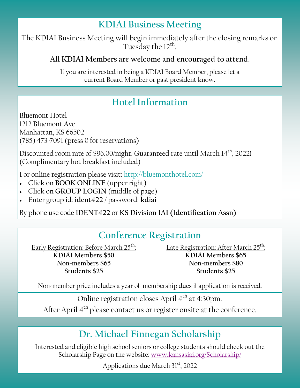## **KDIAI Business Meeting**

The KDIAI Business Meeting will begin immediately after the closing remarks on Tuesday the 12<sup>th</sup>.

#### **All KDIAI Members are welcome and encouraged to attend.**

If you are interested in being a KDIAI Board Member, please let a current Board Member or past president know.

## **Hotel Information Hotel Information**

Bluemont Hotel Bluemont Hotel 1212 Bluemont Ave 1212 Bluemont Ave Manhattan, KS 66502 Manhattan, KS 66502 (785) 473-7091 (press 0 for reservations) (785) 473-7091 (press 0 for reservations)

Discounted room rate of \$96.00/night. Guaranteed rate until March 14 $^{\rm th}$ , 2022! (Complimentary hot breakfast included) (Complimentary hot breakfast included)

 $\mathbf{F} = \mathbf{F} \cdot \mathbf{F} \cdot \mathbf{F} \cdot \mathbf{F} = \mathbf{F} \cdot \mathbf{F} \cdot \mathbf{F} \cdot \mathbf{F} \cdot \mathbf{F} \cdot \mathbf{F} \cdot \mathbf{F} \cdot \mathbf{F} \cdot \mathbf{F} \cdot \mathbf{F} \cdot \mathbf{F} \cdot \mathbf{F} \cdot \mathbf{F} \cdot \mathbf{F} \cdot \mathbf{F} \cdot \mathbf{F} \cdot \mathbf{F} \cdot \mathbf{F} \cdot \mathbf{F} \cdot \mathbf{F} \cdot \mathbf{F} \cdot \mathbf{F} \cdot \mathbf{F}$ For online registration please visit: <http://bluemonthotel.com/>

- Click on **BOOK ONLINE** (upper right)
- Click on **GROUP LOGIN** (middle of page)
- **EXECUTE USE CODE IS DIVISION INC.** IN THE INTERNATIONAL ASSOCIATION IS A DIVISION OF LATER OF THE INTERNATIONAL ASSOCIATION IN THE INTERNATIONAL ASSOCIATION IN THE INTERNATIONAL ASSOCIATION IN THE INTERNATIONAL ASSOCIATIO Enter group id: **ident422** / password: **kdiai**

By phone use code **IDENT422** or **KS Division IAI (Identification Assn)**

## **Conference Registration**

Early Registration: Before March 25<sup>th</sup>: **KDIAI Members \$50 Non-members \$65 Students \$25**

Late Registration: After March 25<sup>th</sup>: **KDIAI Members \$65 Non-members \$80 Students \$25**

Non-member price includes a year of membership dues if application is received.

Online registration closes April 4<sup>th</sup> at 4:30pm.

After April 4<sup>th</sup> please contact us or register onsite at the conference.

## **Dr. Michael Finnegan Scholarship**

Interested and eligible high school seniors or college students should check out the Scholarship Page on the website: [www.kansasiai.org/Scholarship/](http://www.kansasiai.org/Scholarship/)

Applications due March 31<sup>st</sup>, 2022